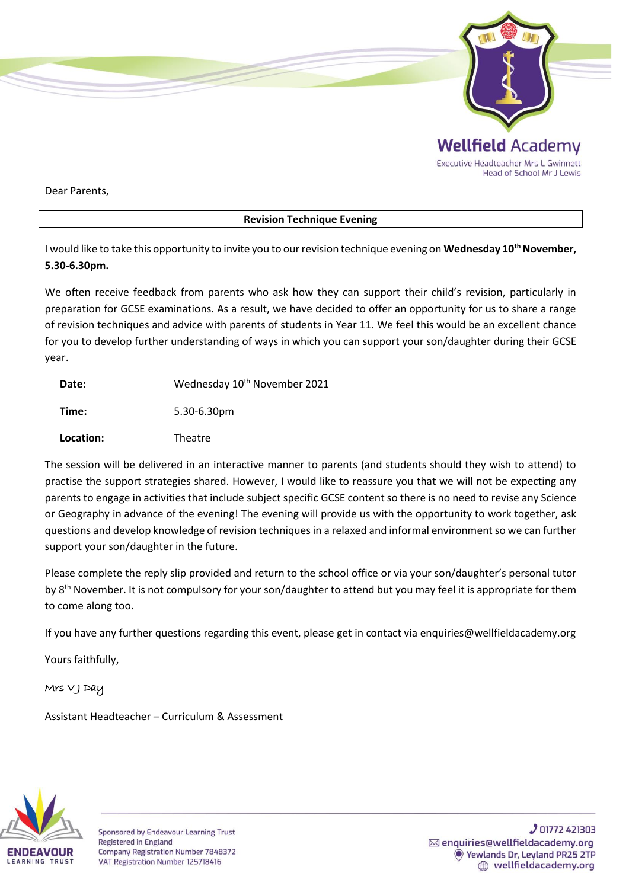

Dear Parents,

## **Revision Technique Evening**

I would like to take this opportunity to invite you to our revision technique evening on **Wednesday 10thNovember, 5.30-6.30pm.**

We often receive feedback from parents who ask how they can support their child's revision, particularly in preparation for GCSE examinations. As a result, we have decided to offer an opportunity for us to share a range of revision techniques and advice with parents of students in Year 11. We feel this would be an excellent chance for you to develop further understanding of ways in which you can support your son/daughter during their GCSE year.

| Date:     | Wednesday 10 <sup>th</sup> November 2021 |
|-----------|------------------------------------------|
| Time:     | 5.30-6.30pm                              |
| Location: | Theatre                                  |

The session will be delivered in an interactive manner to parents (and students should they wish to attend) to practise the support strategies shared. However, I would like to reassure you that we will not be expecting any parents to engage in activities that include subject specific GCSE content so there is no need to revise any Science or Geography in advance of the evening! The evening will provide us with the opportunity to work together, ask questions and develop knowledge of revision techniques in a relaxed and informal environment so we can further support your son/daughter in the future.

Please complete the reply slip provided and return to the school office or via your son/daughter's personal tutor by 8<sup>th</sup> November. It is not compulsory for your son/daughter to attend but you may feel it is appropriate for them to come along too.

If you have any further questions regarding this event, please get in contact via enquiries@wellfieldacademy.org

Yours faithfully,

## Mrs V J Day

Assistant Headteacher – Curriculum & Assessment



Sponsored by Endeavour Learning Trust **Registered in England** Company Registration Number 7848372 VAT Registration Number 125718416

**J** 01772 421303  $\boxtimes$  enquiries@wellfieldacademy.org Vewlands Dr. Leyland PR25 2TP wellfieldacademy.org